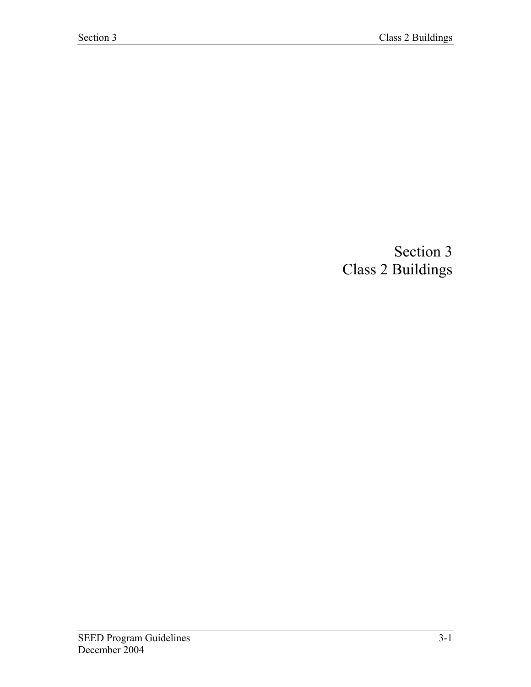## Section 3 Class 2 Buildings